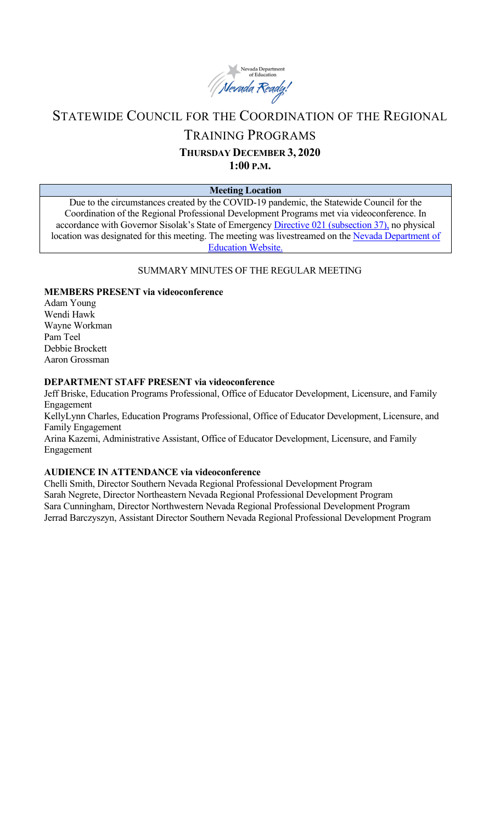

## STATEWIDE COUNCIL FOR THE COORDINATION OF THE REGIONAL

## TRAINING PROGRAMS

# **THURSDAY DECEMBER 3, 2020**

**1:00 P.M.**

## **Meeting Location**

Due to the circumstances created by the COVID-19 pandemic, the Statewide Council for the Coordination of the Regional Professional Development Programs met via videoconference. In accordance with Governor Sisolak's State of Emergency [Directive 021 \(subsection 37\),](http://gov.nv.gov/News/Emergency_Orders/2020/2020-05-28_-_COVID-19_Declaration_of_Emergency_Directive_021_-_Phase_Two_Reopening_Plan_(Attachments)/) no physical location was designated for this meeting. The meeting was livestreamed on the [Nevada Department of](http://www.doe.nv.gov/Boards_Commissions_Councils/Statewide_Council_Reg_Training/Statewide_Council_for_the_Coordination_of_Regional_Training_Programs/)  [Education Website.](http://www.doe.nv.gov/Boards_Commissions_Councils/Statewide_Council_Reg_Training/Statewide_Council_for_the_Coordination_of_Regional_Training_Programs/)

## SUMMARY MINUTES OF THE REGULAR MEETING

## **MEMBERS PRESENT via videoconference**

Adam Young Wendi Hawk Wayne Workman Pam Teel Debbie Brockett Aaron Grossman

#### **DEPARTMENT STAFF PRESENT via videoconference**

Jeff Briske, Education Programs Professional, Office of Educator Development, Licensure, and Family Engagement

KellyLynn Charles, Education Programs Professional, Office of Educator Development, Licensure, and Family Engagement

Arina Kazemi, Administrative Assistant, Office of Educator Development, Licensure, and Family Engagement

#### **AUDIENCE IN ATTENDANCE via videoconference**

Chelli Smith, Director Southern Nevada Regional Professional Development Program Sarah Negrete, Director Northeastern Nevada Regional Professional Development Program Sara Cunningham, Director Northwestern Nevada Regional Professional Development Program Jerrad Barczyszyn, Assistant Director Southern Nevada Regional Professional Development Program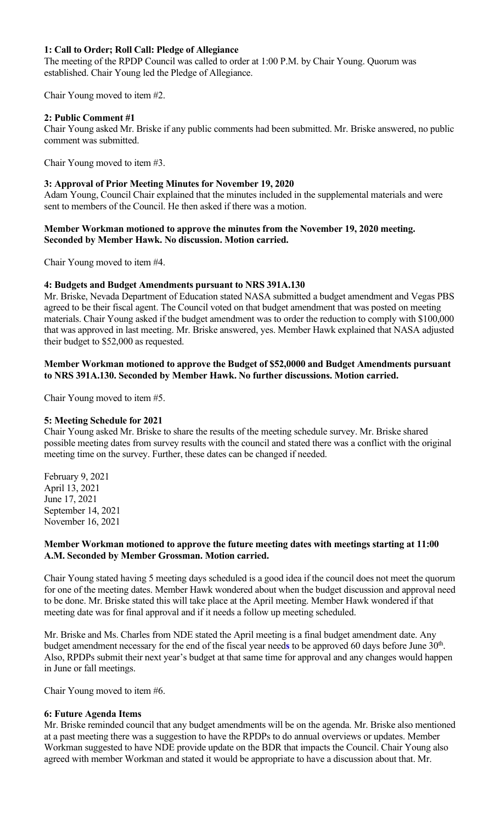### **1: Call to Order; Roll Call: Pledge of Allegiance**

The meeting of the RPDP Council was called to order at 1:00 P.M. by Chair Young. Quorum was established. Chair Young led the Pledge of Allegiance.

Chair Young moved to item #2.

## **2: Public Comment #1**

Chair Young asked Mr. Briske if any public comments had been submitted. Mr. Briske answered, no public comment was submitted.

Chair Young moved to item #3.

## **3: Approval of Prior Meeting Minutes for November 19, 2020**

Adam Young, Council Chair explained that the minutes included in the supplemental materials and were sent to members of the Council. He then asked if there was a motion.

#### **Member Workman motioned to approve the minutes from the November 19, 2020 meeting. Seconded by Member Hawk. No discussion. Motion carried.**

Chair Young moved to item #4.

## **4: Budgets and Budget Amendments pursuant to NRS 391A.130**

Mr. Briske, Nevada Department of Education stated NASA submitted a budget amendment and Vegas PBS agreed to be their fiscal agent. The Council voted on that budget amendment that was posted on meeting materials. Chair Young asked if the budget amendment was to order the reduction to comply with \$100,000 that was approved in last meeting. Mr. Briske answered, yes. Member Hawk explained that NASA adjusted their budget to \$52,000 as requested.

#### **Member Workman motioned to approve the Budget of \$52,0000 and Budget Amendments pursuant to NRS 391A.130. Seconded by Member Hawk. No further discussions. Motion carried.**

Chair Young moved to item #5.

#### **5: Meeting Schedule for 2021**

Chair Young asked Mr. Briske to share the results of the meeting schedule survey. Mr. Briske shared possible meeting dates from survey results with the council and stated there was a conflict with the original meeting time on the survey. Further, these dates can be changed if needed.

February 9, 2021 April 13, 2021 June 17, 2021 September 14, 2021 November 16, 2021

## **Member Workman motioned to approve the future meeting dates with meetings starting at 11:00 A.M. Seconded by Member Grossman. Motion carried.**

Chair Young stated having 5 meeting days scheduled is a good idea if the council does not meet the quorum for one of the meeting dates. Member Hawk wondered about when the budget discussion and approval need to be done. Mr. Briske stated this will take place at the April meeting. Member Hawk wondered if that meeting date was for final approval and if it needs a follow up meeting scheduled.

Mr. Briske and Ms. Charles from NDE stated the April meeting is a final budget amendment date. Any budget amendment necessary for the end of the fiscal year needs to be approved 60 days before June 30<sup>th</sup>. Also, RPDPs submit their next year's budget at that same time for approval and any changes would happen in June or fall meetings.

Chair Young moved to item #6.

#### **6: Future Agenda Items**

Mr. Briske reminded council that any budget amendments will be on the agenda. Mr. Briske also mentioned at a past meeting there was a suggestion to have the RPDPs to do annual overviews or updates. Member Workman suggested to have NDE provide update on the BDR that impacts the Council. Chair Young also agreed with member Workman and stated it would be appropriate to have a discussion about that. Mr.